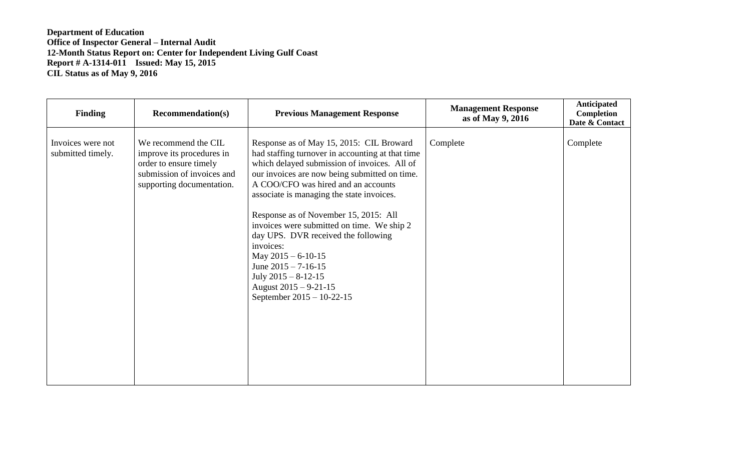| <b>Finding</b>                         | <b>Recommendation(s)</b>                                                                                                               | <b>Previous Management Response</b>                                                                                                                                                                                                                                                                                                                                                                                                                                                                                                                                            | <b>Management Response</b><br>as of May 9, 2016 | Anticipated<br>Completion<br>Date & Contact |
|----------------------------------------|----------------------------------------------------------------------------------------------------------------------------------------|--------------------------------------------------------------------------------------------------------------------------------------------------------------------------------------------------------------------------------------------------------------------------------------------------------------------------------------------------------------------------------------------------------------------------------------------------------------------------------------------------------------------------------------------------------------------------------|-------------------------------------------------|---------------------------------------------|
| Invoices were not<br>submitted timely. | We recommend the CIL<br>improve its procedures in<br>order to ensure timely<br>submission of invoices and<br>supporting documentation. | Response as of May 15, 2015: CIL Broward<br>had staffing turnover in accounting at that time<br>which delayed submission of invoices. All of<br>our invoices are now being submitted on time.<br>A COO/CFO was hired and an accounts<br>associate is managing the state invoices.<br>Response as of November 15, 2015: All<br>invoices were submitted on time. We ship 2<br>day UPS. DVR received the following<br>invoices:<br>May $2015 - 6 - 10 - 15$<br>June $2015 - 7 - 16 - 15$<br>July $2015 - 8 - 12 - 15$<br>August $2015 - 9 - 21 - 15$<br>September 2015 - 10-22-15 | Complete                                        | Complete                                    |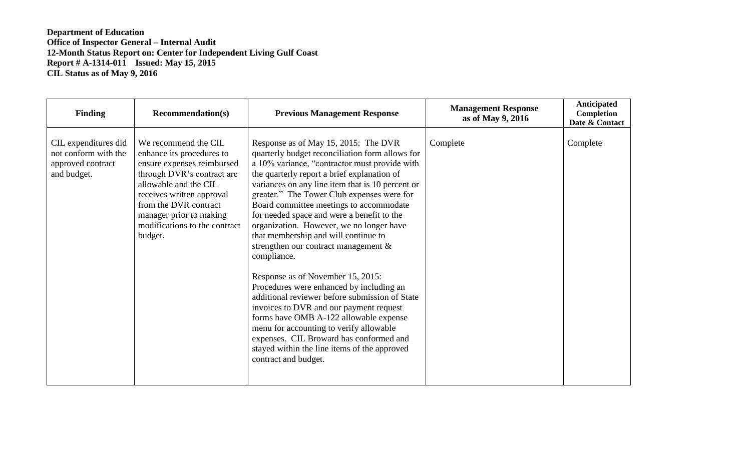| <b>Finding</b>                                                                   | <b>Recommendation(s)</b>                                                                                                                                                                                                                                            | <b>Previous Management Response</b>                                                                                                                                                                                                                                                                                                                                                                                                                                                                                                                                                                                                                                                                                                                                                                                                                                                                                    | <b>Management Response</b><br>as of May 9, 2016 | Anticipated<br>Completion<br>Date & Contact |
|----------------------------------------------------------------------------------|---------------------------------------------------------------------------------------------------------------------------------------------------------------------------------------------------------------------------------------------------------------------|------------------------------------------------------------------------------------------------------------------------------------------------------------------------------------------------------------------------------------------------------------------------------------------------------------------------------------------------------------------------------------------------------------------------------------------------------------------------------------------------------------------------------------------------------------------------------------------------------------------------------------------------------------------------------------------------------------------------------------------------------------------------------------------------------------------------------------------------------------------------------------------------------------------------|-------------------------------------------------|---------------------------------------------|
| CIL expenditures did<br>not conform with the<br>approved contract<br>and budget. | We recommend the CIL<br>enhance its procedures to<br>ensure expenses reimbursed<br>through DVR's contract are<br>allowable and the CIL<br>receives written approval<br>from the DVR contract<br>manager prior to making<br>modifications to the contract<br>budget. | Response as of May 15, 2015: The DVR<br>quarterly budget reconciliation form allows for<br>a 10% variance, "contractor must provide with<br>the quarterly report a brief explanation of<br>variances on any line item that is 10 percent or<br>greater." The Tower Club expenses were for<br>Board committee meetings to accommodate<br>for needed space and were a benefit to the<br>organization. However, we no longer have<br>that membership and will continue to<br>strengthen our contract management $\&$<br>compliance.<br>Response as of November 15, 2015:<br>Procedures were enhanced by including an<br>additional reviewer before submission of State<br>invoices to DVR and our payment request<br>forms have OMB A-122 allowable expense<br>menu for accounting to verify allowable<br>expenses. CIL Broward has conformed and<br>stayed within the line items of the approved<br>contract and budget. | Complete                                        | Complete                                    |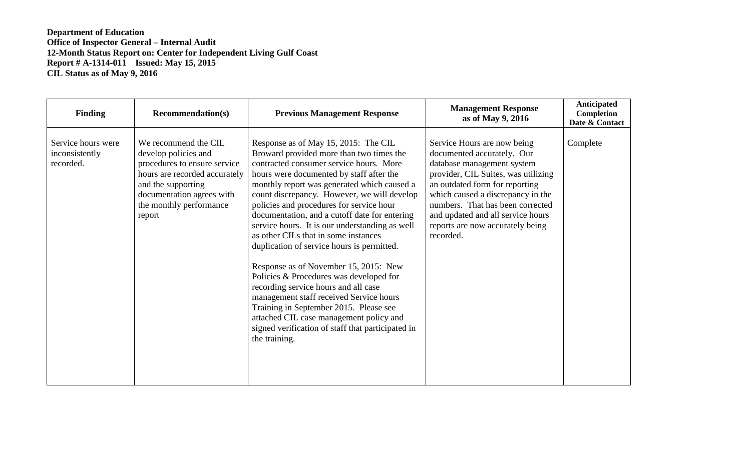| <b>Finding</b>                                    | <b>Recommendation(s)</b>                                                                                                                                                                              | <b>Previous Management Response</b>                                                                                                                                                                                                                                                                                                                                                                                                                                                                                                                                                                                                                                                                                                                                                                                                          | <b>Management Response</b><br>as of May 9, 2016                                                                                                                                                                                                                                                                                 | Anticipated<br>Completion<br>Date & Contact |
|---------------------------------------------------|-------------------------------------------------------------------------------------------------------------------------------------------------------------------------------------------------------|----------------------------------------------------------------------------------------------------------------------------------------------------------------------------------------------------------------------------------------------------------------------------------------------------------------------------------------------------------------------------------------------------------------------------------------------------------------------------------------------------------------------------------------------------------------------------------------------------------------------------------------------------------------------------------------------------------------------------------------------------------------------------------------------------------------------------------------------|---------------------------------------------------------------------------------------------------------------------------------------------------------------------------------------------------------------------------------------------------------------------------------------------------------------------------------|---------------------------------------------|
| Service hours were<br>inconsistently<br>recorded. | We recommend the CIL<br>develop policies and<br>procedures to ensure service<br>hours are recorded accurately<br>and the supporting<br>documentation agrees with<br>the monthly performance<br>report | Response as of May 15, 2015: The CIL<br>Broward provided more than two times the<br>contracted consumer service hours. More<br>hours were documented by staff after the<br>monthly report was generated which caused a<br>count discrepancy. However, we will develop<br>policies and procedures for service hour<br>documentation, and a cutoff date for entering<br>service hours. It is our understanding as well<br>as other CILs that in some instances<br>duplication of service hours is permitted.<br>Response as of November 15, 2015: New<br>Policies & Procedures was developed for<br>recording service hours and all case<br>management staff received Service hours<br>Training in September 2015. Please see<br>attached CIL case management policy and<br>signed verification of staff that participated in<br>the training. | Service Hours are now being<br>documented accurately. Our<br>database management system<br>provider, CIL Suites, was utilizing<br>an outdated form for reporting<br>which caused a discrepancy in the<br>numbers. That has been corrected<br>and updated and all service hours<br>reports are now accurately being<br>recorded. | Complete                                    |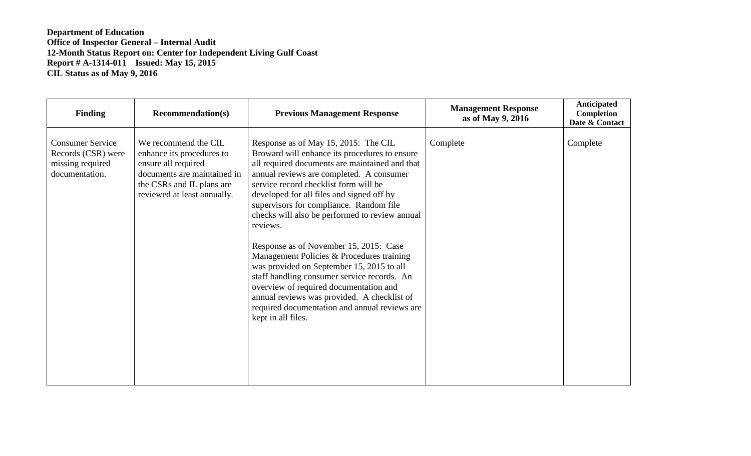| <b>Finding</b>                                                                      | <b>Recommendation(s)</b>                                                                                                                                            | <b>Previous Management Response</b>                                                                                                                                                                                                                                                                                                                                                                                                                                                                                                                                                                                                                                                                                                   | <b>Management Response</b><br>as of May 9, 2016 | Anticipated<br><b>Completion</b><br>Date & Contact |
|-------------------------------------------------------------------------------------|---------------------------------------------------------------------------------------------------------------------------------------------------------------------|---------------------------------------------------------------------------------------------------------------------------------------------------------------------------------------------------------------------------------------------------------------------------------------------------------------------------------------------------------------------------------------------------------------------------------------------------------------------------------------------------------------------------------------------------------------------------------------------------------------------------------------------------------------------------------------------------------------------------------------|-------------------------------------------------|----------------------------------------------------|
| <b>Consumer Service</b><br>Records (CSR) were<br>missing required<br>documentation. | We recommend the CIL<br>enhance its procedures to<br>ensure all required<br>documents are maintained in<br>the CSRs and IL plans are<br>reviewed at least annually. | Response as of May 15, 2015: The CIL<br>Broward will enhance its procedures to ensure<br>all required documents are maintained and that<br>annual reviews are completed. A consumer<br>service record checklist form will be<br>developed for all files and signed off by<br>supervisors for compliance. Random file<br>checks will also be performed to review annual<br>reviews.<br>Response as of November 15, 2015: Case<br>Management Policies & Procedures training<br>was provided on September 15, 2015 to all<br>staff handling consumer service records. An<br>overview of required documentation and<br>annual reviews was provided. A checklist of<br>required documentation and annual reviews are<br>kept in all files. | Complete                                        | Complete                                           |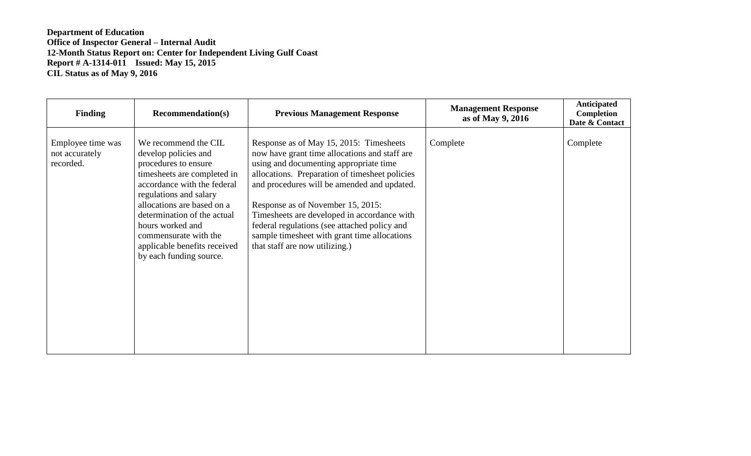| <b>Finding</b>                                   | <b>Recommendation(s)</b>                                                                                                                                                                                                                                                                                                          | <b>Previous Management Response</b>                                                                                                                                                                                                                                                                                                                                                                                                                       | <b>Management Response</b><br>as of May 9, 2016 | <b>Anticipated</b><br>Completion<br>Date & Contact |
|--------------------------------------------------|-----------------------------------------------------------------------------------------------------------------------------------------------------------------------------------------------------------------------------------------------------------------------------------------------------------------------------------|-----------------------------------------------------------------------------------------------------------------------------------------------------------------------------------------------------------------------------------------------------------------------------------------------------------------------------------------------------------------------------------------------------------------------------------------------------------|-------------------------------------------------|----------------------------------------------------|
| Employee time was<br>not accurately<br>recorded. | We recommend the CIL<br>develop policies and<br>procedures to ensure<br>timesheets are completed in<br>accordance with the federal<br>regulations and salary<br>allocations are based on a<br>determination of the actual<br>hours worked and<br>commensurate with the<br>applicable benefits received<br>by each funding source. | Response as of May 15, 2015: Timesheets<br>now have grant time allocations and staff are<br>using and documenting appropriate time<br>allocations. Preparation of timesheet policies<br>and procedures will be amended and updated.<br>Response as of November 15, 2015:<br>Timesheets are developed in accordance with<br>federal regulations (see attached policy and<br>sample timesheet with grant time allocations<br>that staff are now utilizing.) | Complete                                        | Complete                                           |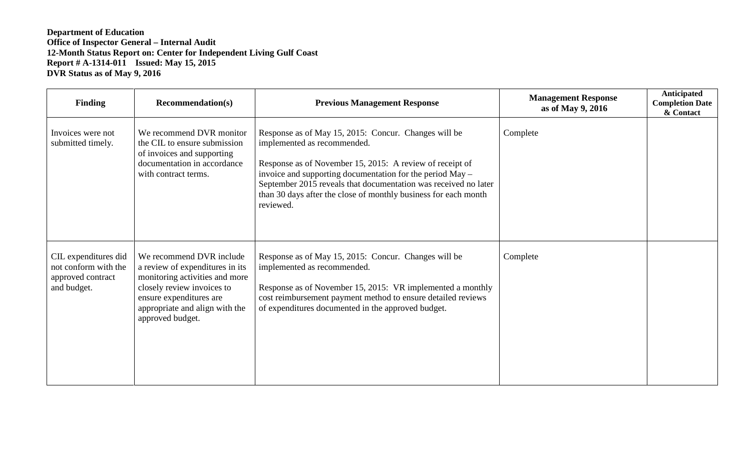| Finding                                                                          | <b>Recommendation(s)</b>                                                                                                                                                                                     | <b>Previous Management Response</b>                                                                                                                                                                                                                                                                                                                             | <b>Management Response</b><br>as of May 9, 2016 | Anticipated<br><b>Completion Date</b><br>& Contact |
|----------------------------------------------------------------------------------|--------------------------------------------------------------------------------------------------------------------------------------------------------------------------------------------------------------|-----------------------------------------------------------------------------------------------------------------------------------------------------------------------------------------------------------------------------------------------------------------------------------------------------------------------------------------------------------------|-------------------------------------------------|----------------------------------------------------|
| Invoices were not<br>submitted timely.                                           | We recommend DVR monitor<br>the CIL to ensure submission<br>of invoices and supporting<br>documentation in accordance<br>with contract terms.                                                                | Response as of May 15, 2015: Concur. Changes will be<br>implemented as recommended.<br>Response as of November 15, 2015: A review of receipt of<br>invoice and supporting documentation for the period May –<br>September 2015 reveals that documentation was received no later<br>than 30 days after the close of monthly business for each month<br>reviewed. | Complete                                        |                                                    |
| CIL expenditures did<br>not conform with the<br>approved contract<br>and budget. | We recommend DVR include<br>a review of expenditures in its<br>monitoring activities and more<br>closely review invoices to<br>ensure expenditures are<br>appropriate and align with the<br>approved budget. | Response as of May 15, 2015: Concur. Changes will be<br>implemented as recommended.<br>Response as of November 15, 2015: VR implemented a monthly<br>cost reimbursement payment method to ensure detailed reviews<br>of expenditures documented in the approved budget.                                                                                         | Complete                                        |                                                    |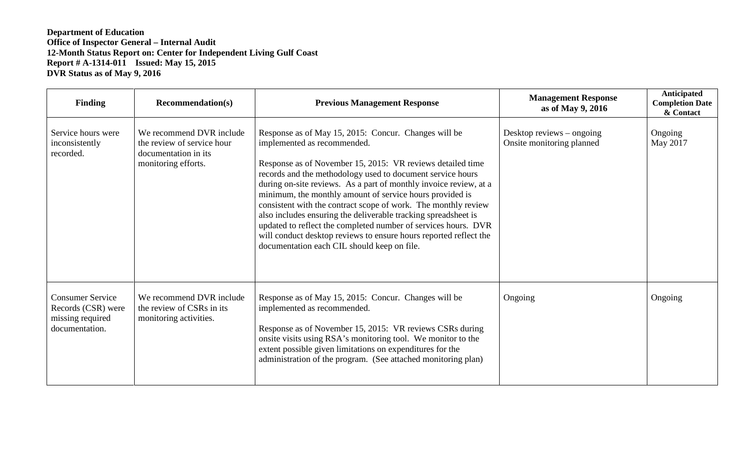| <b>Finding</b>                                                                      | <b>Recommendation(s)</b>                                                                              | <b>Previous Management Response</b>                                                                                                                                                                                                                                                                                                                                                                                                                                                                                                                                                                                                                                        | <b>Management Response</b><br>as of May 9, 2016          | Anticipated<br><b>Completion Date</b><br>& Contact |
|-------------------------------------------------------------------------------------|-------------------------------------------------------------------------------------------------------|----------------------------------------------------------------------------------------------------------------------------------------------------------------------------------------------------------------------------------------------------------------------------------------------------------------------------------------------------------------------------------------------------------------------------------------------------------------------------------------------------------------------------------------------------------------------------------------------------------------------------------------------------------------------------|----------------------------------------------------------|----------------------------------------------------|
| Service hours were<br>inconsistently<br>recorded.                                   | We recommend DVR include<br>the review of service hour<br>documentation in its<br>monitoring efforts. | Response as of May 15, 2015: Concur. Changes will be<br>implemented as recommended.<br>Response as of November 15, 2015: VR reviews detailed time<br>records and the methodology used to document service hours<br>during on-site reviews. As a part of monthly invoice review, at a<br>minimum, the monthly amount of service hours provided is<br>consistent with the contract scope of work. The monthly review<br>also includes ensuring the deliverable tracking spreadsheet is<br>updated to reflect the completed number of services hours. DVR<br>will conduct desktop reviews to ensure hours reported reflect the<br>documentation each CIL should keep on file. | Desktop reviews $-$ ongoing<br>Onsite monitoring planned | Ongoing<br>May 2017                                |
| <b>Consumer Service</b><br>Records (CSR) were<br>missing required<br>documentation. | We recommend DVR include<br>the review of CSRs in its<br>monitoring activities.                       | Response as of May 15, 2015: Concur. Changes will be<br>implemented as recommended.<br>Response as of November 15, 2015: VR reviews CSRs during<br>onsite visits using RSA's monitoring tool. We monitor to the<br>extent possible given limitations on expenditures for the<br>administration of the program. (See attached monitoring plan)                                                                                                                                                                                                                                                                                                                              | Ongoing                                                  | Ongoing                                            |